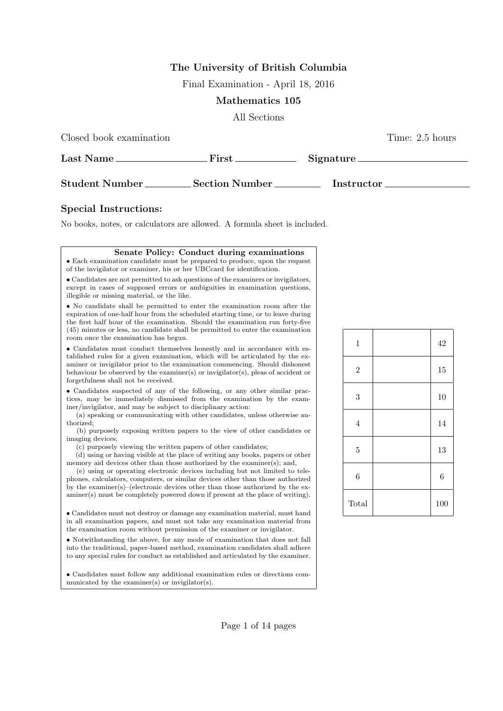# The University of British Columbia

Final Examination - April 18, 2016

### Mathematics 105

All Sections

Closed book examination Time: 2.5 hours

| Last Name.            | $\rm First$           | Signature. |
|-----------------------|-----------------------|------------|
| <b>Student Number</b> | <b>Section Number</b> | Instructor |

## Special Instructions:

 $\mathsf{I}$ 

No books, notes, or calculators are allowed. A formula sheet is included.

| Senate Policy: Conduct during examinations                                                                                                                                                                                                                                                                                                                                                                                                                                                                                                                                          |  |  |  |  |
|-------------------------------------------------------------------------------------------------------------------------------------------------------------------------------------------------------------------------------------------------------------------------------------------------------------------------------------------------------------------------------------------------------------------------------------------------------------------------------------------------------------------------------------------------------------------------------------|--|--|--|--|
| • Each examination candidate must be prepared to produce, upon the request<br>of the invigilator or examiner, his or her UBCcard for identification.                                                                                                                                                                                                                                                                                                                                                                                                                                |  |  |  |  |
| • Candidates are not permitted to ask questions of the examiners or invigilators,<br>except in cases of supposed errors or ambiguities in examination questions,<br>illegible or missing material, or the like.                                                                                                                                                                                                                                                                                                                                                                     |  |  |  |  |
| • No candidate shall be permitted to enter the examination room after the<br>expiration of one-half hour from the scheduled starting time, or to leave during<br>the first half hour of the examination. Should the examination run forty-five<br>(45) minutes or less, no candidate shall be permitted to enter the examination<br>room once the examination has begun.                                                                                                                                                                                                            |  |  |  |  |
| • Candidates must conduct themselves honestly and in accordance with es-<br>tablished rules for a given examination, which will be articulated by the ex-<br>aminer or invigilator prior to the examination commencing. Should dishonest<br>behaviour be observed by the examiner(s) or invigilator(s), pleas of accident or<br>forgetfulness shall not be received.                                                                                                                                                                                                                |  |  |  |  |
| • Candidates suspected of any of the following, or any other similar prac-<br>tices, may be immediately dismissed from the examination by the exam-<br>iner/invigilator, and may be subject to disciplinary action:<br>(a) speaking or communicating with other candidates, unless otherwise au-<br>thorized;<br>(b) purposely exposing written papers to the view of other candidates or                                                                                                                                                                                           |  |  |  |  |
| imaging devices;<br>(c) purposely viewing the written papers of other candidates;<br>(d) using or having visible at the place of writing any books, papers or other<br>memory aid devices other than those authorized by the examiner(s); and,<br>(e) using or operating electronic devices including but not limited to tele-<br>phones, calculators, computers, or similar devices other than those authorized<br>by the examiner(s)–(electronic devices other than those authorized by the ex-<br>aminer(s) must be completely powered down if present at the place of writing). |  |  |  |  |
| • Candidates must not destroy or damage any examination material, must hand<br>in all examination papers, and must not take any examination material from<br>the examination room without permission of the examiner or invigilator.                                                                                                                                                                                                                                                                                                                                                |  |  |  |  |
| • Notwithstanding the above, for any mode of examination that does not fall<br>into the traditional, paper-based method, examination candidates shall adhere<br>to any special rules for conduct as established and articulated by the examiner.                                                                                                                                                                                                                                                                                                                                    |  |  |  |  |
| • Candidates must follow any additional examination rules or directions com-<br>municated by the examiner(s) or invigilator(s).                                                                                                                                                                                                                                                                                                                                                                                                                                                     |  |  |  |  |

| $\,1$            | 42  |
|------------------|-----|
| $\sqrt{2}$       | 15  |
| 3                | 10  |
| $\,4\,$          | 14  |
| $\overline{5}$   | 13  |
| $\boldsymbol{6}$ | 6   |
| Total            | 100 |

#### Page 1 of 14 pages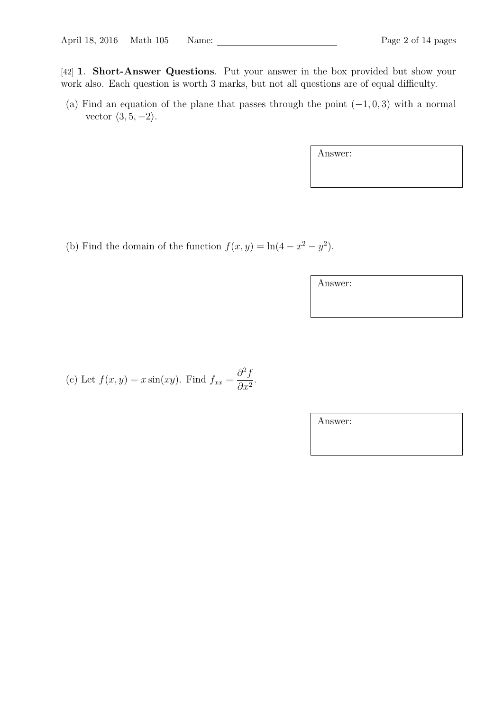[42] **1. Short-Answer Questions.** Put your answer in the box provided but show your work also. Each question is worth 3 marks, but not all questions are of equal difficulty.

(a) Find an equation of the plane that passes through the point  $(-1, 0, 3)$  with a normal vector  $\langle 3, 5, -2 \rangle$ .

Answer:

(b) Find the domain of the function  $f(x, y) = \ln(4 - x^2 - y^2)$ .

Answer:

(c) Let  $f(x, y) = x \sin(xy)$ . Find  $f_{xx} =$  $\partial^2 f$  $\frac{\partial}{\partial x^2}$ .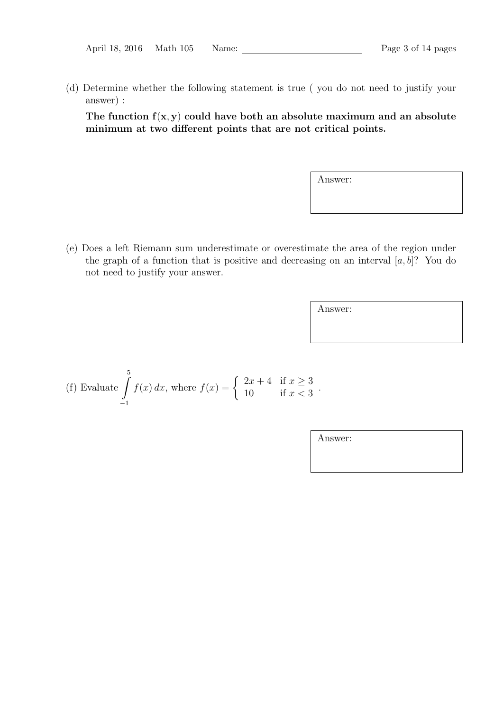| April 18, 2016 Math 105 | Name: |  | Page 3 of 14 pages |
|-------------------------|-------|--|--------------------|
|-------------------------|-------|--|--------------------|

(d) Determine whether the following statement is true ( you do not need to justify your answer) :

The function  $f(x, y)$  could have both an absolute maximum and an absolute minimum at two different points that are not critical points.

Answer:

(e) Does a left Riemann sum underestimate or overestimate the area of the region under the graph of a function that is positive and decreasing on an interval  $[a, b]$ ? You do not need to justify your answer.

Answer:

(f) Evaluate 
$$
\int_{-1}^{5} f(x) dx
$$
, where  $f(x) = \begin{cases} 2x + 4 & \text{if } x \ge 3 \\ 10 & \text{if } x < 3 \end{cases}$ .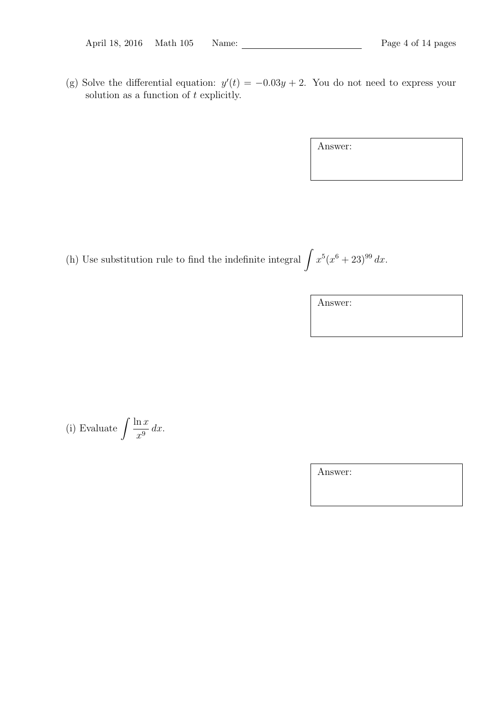(g) Solve the differential equation:  $y'(t) = -0.03y + 2$ . You do not need to express your solution as a function of  $t$  explicitly.

Answer:

(h) Use substitution rule to find the indefinite integral  $\int x^5 (x^6 + 23)^{99} dx$ .

Answer:

(i) Evaluate 
$$
\int \frac{\ln x}{x^9} dx
$$
.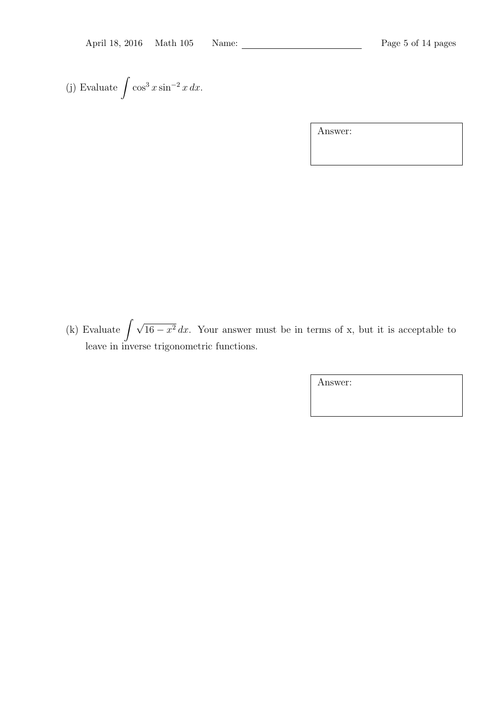(j) Evaluate  $\int \cos^3 x \sin^{-2} x dx$ .

Answer:

(k) Evaluate  $\int \sqrt{16 - x^2} dx$ . Your answer must be in terms of x, but it is acceptable to leave in inverse trigonometric functions.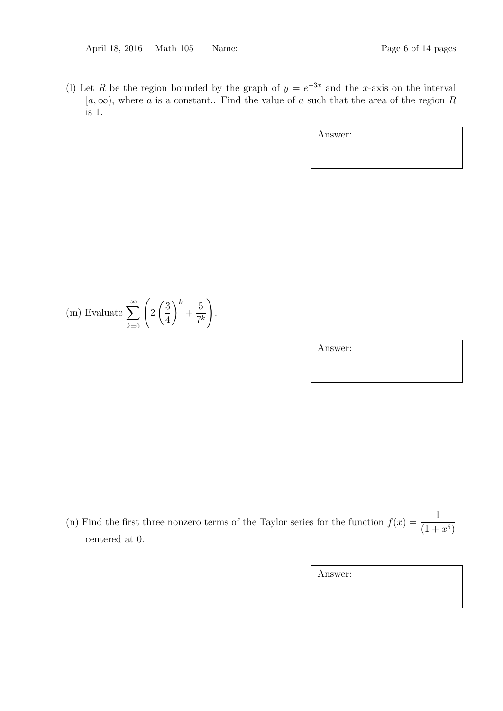(1) Let R be the region bounded by the graph of  $y = e^{-3x}$  and the x-axis on the interval  $[a,\infty)$ , where a is a constant.. Find the value of a such that the area of the region R is 1.

Answer:

(m) Evaluate 
$$
\sum_{k=0}^{\infty} \left( 2\left(\frac{3}{4}\right)^k + \frac{5}{7^k} \right).
$$

Answer:

(n) Find the first three nonzero terms of the Taylor series for the function  $f(x) = \frac{1}{(1+x)^2}$  $(1+x^5)$ centered at 0.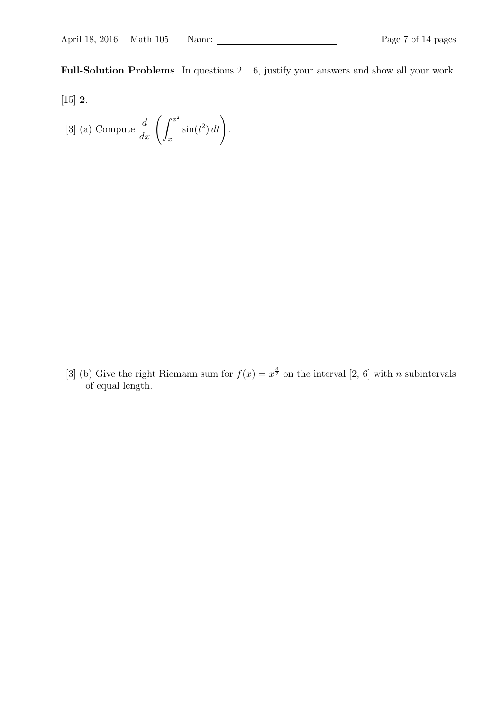Full-Solution Problems. In questions  $2 - 6$ , justify your answers and show all your work.

- [15] 2.
	- [3] (a) Compute  $\frac{d}{dx} \left( \int_x^{x^2} \right)$ x  $\sin(t^2) dt$ .

[3] (b) Give the right Riemann sum for  $f(x) = x^{\frac{3}{2}}$  on the interval [2, 6] with *n* subintervals of equal length.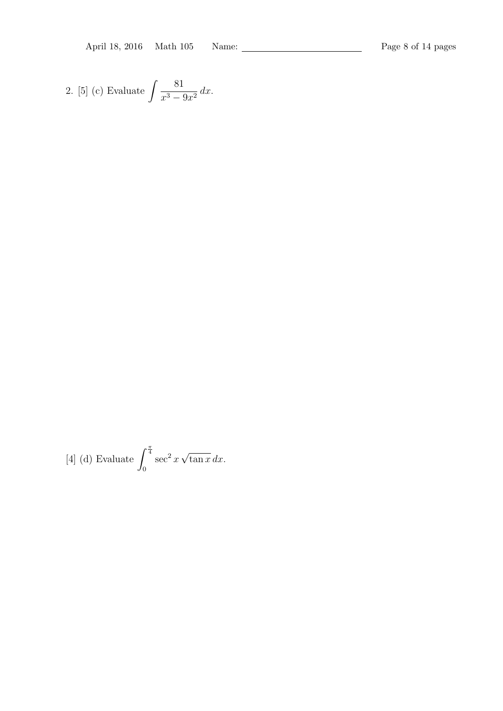April 18, 2016 Math 105 Name: Page 8 of 14 pages

2. [5] (c) Evaluate 
$$
\int \frac{81}{x^3 - 9x^2} dx
$$
.

[4] (d) Evaluate 
$$
\int_0^{\frac{\pi}{4}} \sec^2 x \sqrt{\tan x} dx
$$
.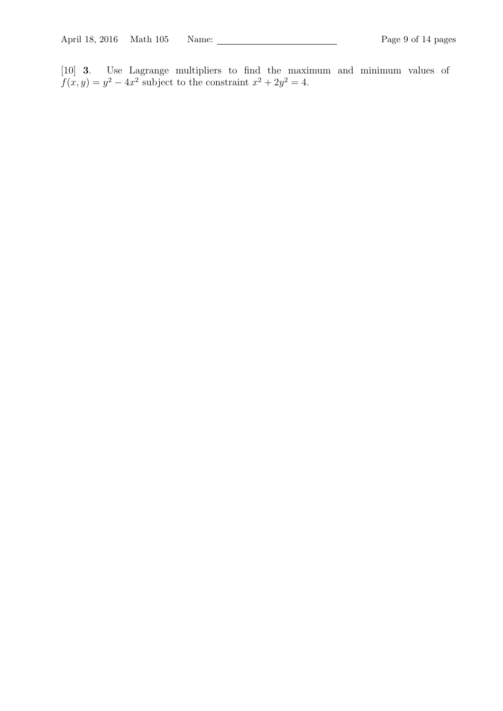[10] 3. Use Lagrange multipliers to find the maximum and minimum values of  $f(x,y) = y^2 - 4x^2$  subject to the constraint  $x^2 + 2y^2 = 4$ .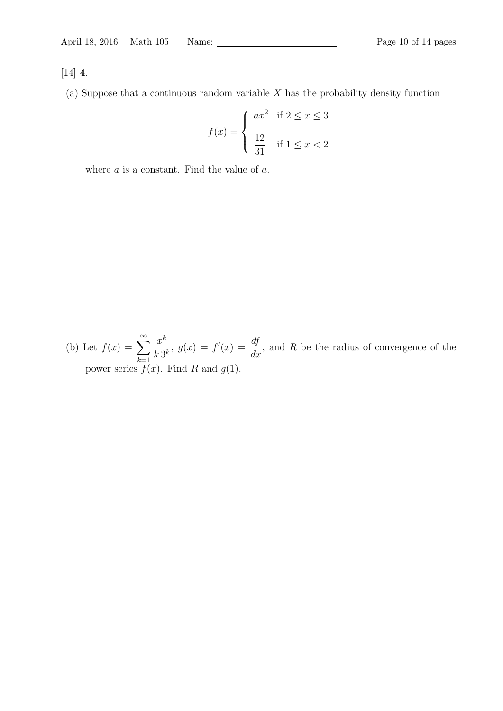[14] 4.

(a) Suppose that a continuous random variable  $X$  has the probability density function

$$
f(x) = \begin{cases} ax^2 & \text{if } 2 \le x \le 3 \\ \frac{12}{31} & \text{if } 1 \le x < 2 \end{cases}
$$

where  $a$  is a constant. Find the value of  $a$ .

(b) Let  $f(x) = \sum_{n=0}^{\infty}$  $k=1$  $x^k$  $\frac{x^k}{k \, 3^k}, \ g(x) = f'(x) = \frac{df}{dx}$  $\frac{dy}{dx}$ , and R be the radius of convergence of the power series  $f(x)$ . Find R and  $g(1)$ .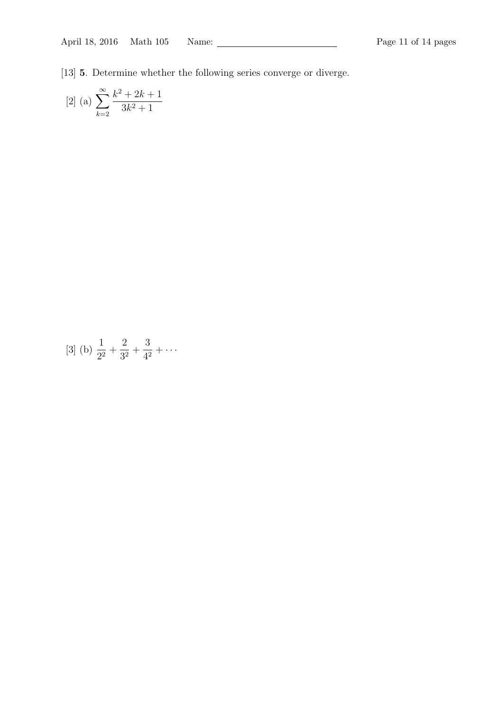[13] 5. Determine whether the following series converge or diverge.

[2] (a) 
$$
\sum_{k=2}^{\infty} \frac{k^2 + 2k + 1}{3k^2 + 1}
$$

[3] (b) 
$$
\frac{1}{2^2} + \frac{2}{3^2} + \frac{3}{4^2} + \cdots
$$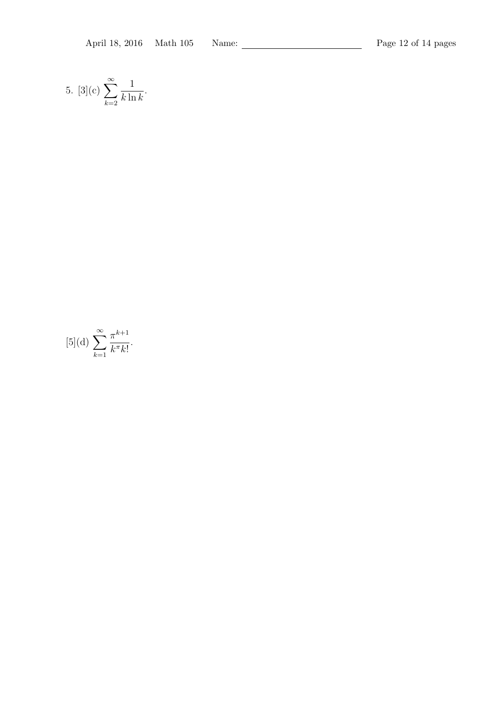5. [3](c) 
$$
\sum_{k=2}^{\infty} \frac{1}{k \ln k}.
$$

$$
[5](\mathrm{d})\,\sum_{k=1}^{\infty}\frac{\pi^{k+1}}{k^{\pi}k!}.
$$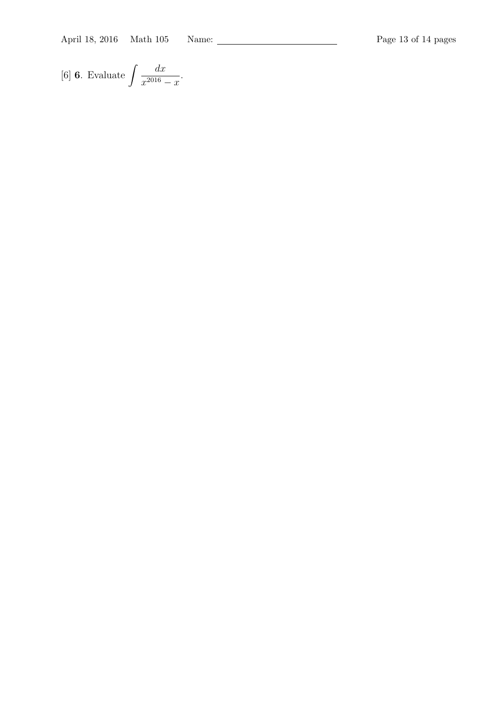April 18, 2016 Math 105 Name: Page 13 of 14 pages

[6] **6.** Evaluate 
$$
\int \frac{dx}{x^{2016} - x}
$$
.